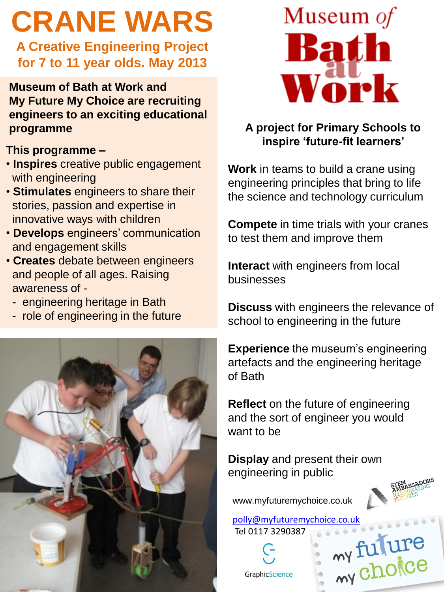# **CRANE WARS**

**A Creative Engineering Project for 7 to 11 year olds. May 2013**

**Museum of Bath at Work and My Future My Choice are recruiting engineers to an exciting educational programme**

## **This programme –**

- **Inspires** creative public engagement with engineering
- **Stimulates** engineers to share their stories, passion and expertise in innovative ways with children
- **Develops** engineers' communication and engagement skills
- **Creates** debate between engineers and people of all ages. Raising awareness of -
	- engineering heritage in Bath
	- role of engineering in the future





## **A project for Primary Schools to inspire 'future-fit learners'**

**Work** in teams to build a crane using engineering principles that bring to life the science and technology curriculum

**Compete** in time trials with your cranes to test them and improve them

**Interact** with engineers from local businesses

**Discuss** with engineers the relevance of school to engineering in the future

**Experience** the museum's engineering artefacts and the engineering heritage of Bath

**Reflect** on the future of engineering and the sort of engineer you would want to be

**Display** and present their own engineering in public



www.myfuturemychoice.co.uk

[polly@myfuturemychoice.co.uk](mailto:info@myfuturemychoice.co.uk) Tel 0117 3290387 my fulure

GraphicScience